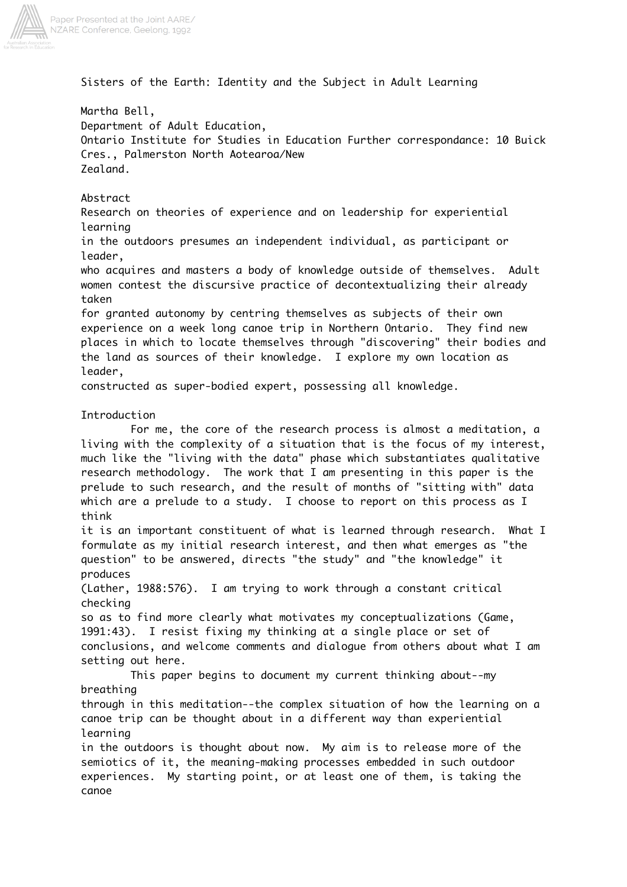

Sisters of the Earth: Identity and the Subject in Adult Learning

Martha Bell, Department of Adult Education, Ontario Institute for Studies in Education Further correspondance: 10 Buick Cres., Palmerston North Aotearoa/New Zealand.

Abstract

Research on theories of experience and on leadership for experiential learning

in the outdoors presumes an independent individual, as participant or leader,

who acquires and masters a body of knowledge outside of themselves. Adult women contest the discursive practice of decontextualizing their already taken

for granted autonomy by centring themselves as subjects of their own experience on a week long canoe trip in Northern Ontario. They find new places in which to locate themselves through "discovering" their bodies and the land as sources of their knowledge. I explore my own location as leader,

constructed as super-bodied expert, possessing all knowledge.

## Introduction

For me, the core of the research process is almost a meditation, a living with the complexity of a situation that is the focus of my interest, much like the "living with the data" phase which substantiates qualitative research methodology. The work that I am presenting in this paper is the prelude to such research, and the result of months of "sitting with" data which are a prelude to a study. I choose to report on this process as I think

it is an important constituent of what is learned through research. What I formulate as my initial research interest, and then what emerges as "the question" to be answered, directs "the study" and "the knowledge" it produces

(Lather, 1988:576). I am trying to work through a constant critical checking

so as to find more clearly what motivates my conceptualizations (Game, 1991:43). I resist fixing my thinking at a single place or set of conclusions, and welcome comments and dialogue from others about what I am setting out here.

This paper begins to document my current thinking about--my breathing through in this meditation--the complex situation of how the learning on a

canoe trip can be thought about in a different way than experiential learning

in the outdoors is thought about now. My aim is to release more of the semiotics of it, the meaning-making processes embedded in such outdoor experiences. My starting point, or at least one of them, is taking the canoe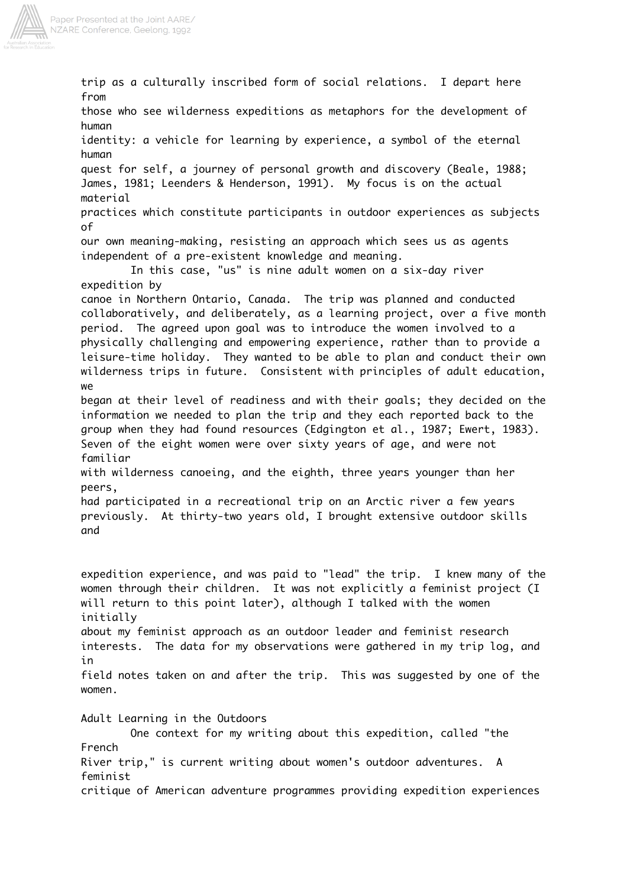

trip as a culturally inscribed form of social relations. I depart here from those who see wilderness expeditions as metaphors for the development of human identity: a vehicle for learning by experience, a symbol of the eternal human quest for self, a journey of personal growth and discovery (Beale, 1988; James, 1981; Leenders & Henderson, 1991). My focus is on the actual material practices which constitute participants in outdoor experiences as subjects of our own meaning-making, resisting an approach which sees us as agents independent of a pre-existent knowledge and meaning. In this case, "us" is nine adult women on a six-day river expedition by canoe in Northern Ontario, Canada. The trip was planned and conducted collaboratively, and deliberately, as a learning project, over a five month period. The agreed upon goal was to introduce the women involved to a physically challenging and empowering experience, rather than to provide a leisure-time holiday. They wanted to be able to plan and conduct their own wilderness trips in future. Consistent with principles of adult education, we began at their level of readiness and with their goals; they decided on the information we needed to plan the trip and they each reported back to the group when they had found resources (Edgington et al., 1987; Ewert, 1983). Seven of the eight women were over sixty years of age, and were not familiar with wilderness canoeing, and the eighth, three years younger than her peers, had participated in a recreational trip on an Arctic river a few years previously. At thirty-two years old, I brought extensive outdoor skills and expedition experience, and was paid to "lead" the trip. I knew many of the women through their children. It was not explicitly a feminist project (I will return to this point later), although I talked with the women initially about my feminist approach as an outdoor leader and feminist research interests. The data for my observations were gathered in my trip log, and in field notes taken on and after the trip. This was suggested by one of the women. Adult Learning in the Outdoors One context for my writing about this expedition, called "the French River trip," is current writing about women's outdoor adventures. A feminist critique of American adventure programmes providing expedition experiences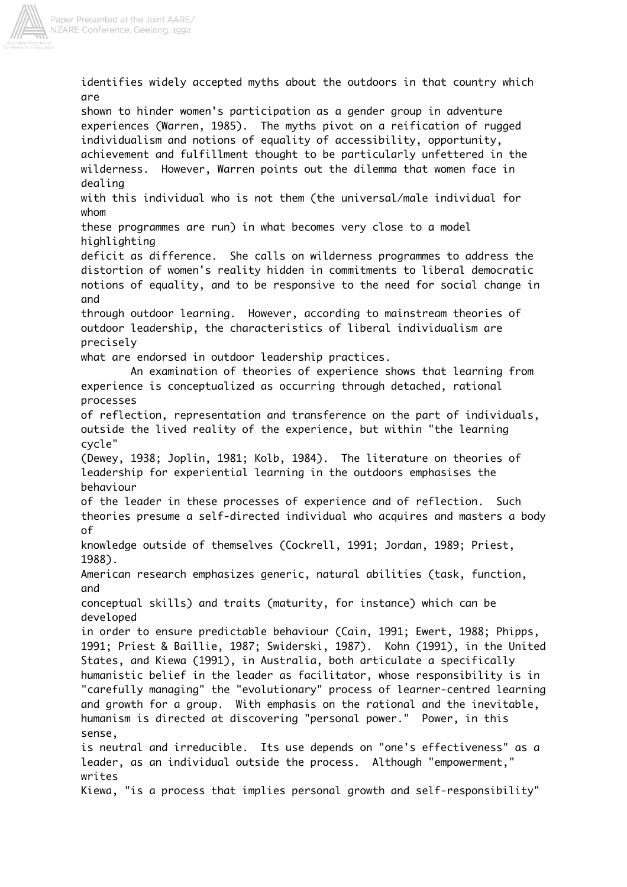

identifies widely accepted myths about the outdoors in that country which are shown to hinder women's participation as a gender group in adventure experiences (Warren, 1985). The myths pivot on a reification of rugged individualism and notions of equality of accessibility, opportunity, achievement and fulfillment thought to be particularly unfettered in the wilderness. However, Warren points out the dilemma that women face in dealing with this individual who is not them (the universal/male individual for whom these programmes are run) in what becomes very close to a model highlighting deficit as difference. She calls on wilderness programmes to address the distortion of women's reality hidden in commitments to liberal democratic notions of equality, and to be responsive to the need for social change in and through outdoor learning. However, according to mainstream theories of outdoor leadership, the characteristics of liberal individualism are precisely what are endorsed in outdoor leadership practices. An examination of theories of experience shows that learning from experience is conceptualized as occurring through detached, rational processes of reflection, representation and transference on the part of individuals, outside the lived reality of the experience, but within "the learning cycle" (Dewey, 1938; Joplin, 1981; Kolb, 1984). The literature on theories of leadership for experiential learning in the outdoors emphasises the behaviour of the leader in these processes of experience and of reflection. Such theories presume a self-directed individual who acquires and masters a body of knowledge outside of themselves (Cockrell, 1991; Jordan, 1989; Priest, 1988). American research emphasizes generic, natural abilities (task, function, and conceptual skills) and traits (maturity, for instance) which can be developed in order to ensure predictable behaviour (Cain, 1991; Ewert, 1988; Phipps, 1991; Priest & Baillie, 1987; Swiderski, 1987). Kohn (1991), in the United States, and Kiewa (1991), in Australia, both articulate a specifically humanistic belief in the leader as facilitator, whose responsibility is in "carefully managing" the "evolutionary" process of learner-centred learning and growth for a group. With emphasis on the rational and the inevitable, humanism is directed at discovering "personal power." Power, in this sense, is neutral and irreducible. Its use depends on "one's effectiveness" as a leader, as an individual outside the process. Although "empowerment," writes Kiewa, "is a process that implies personal growth and self-responsibility"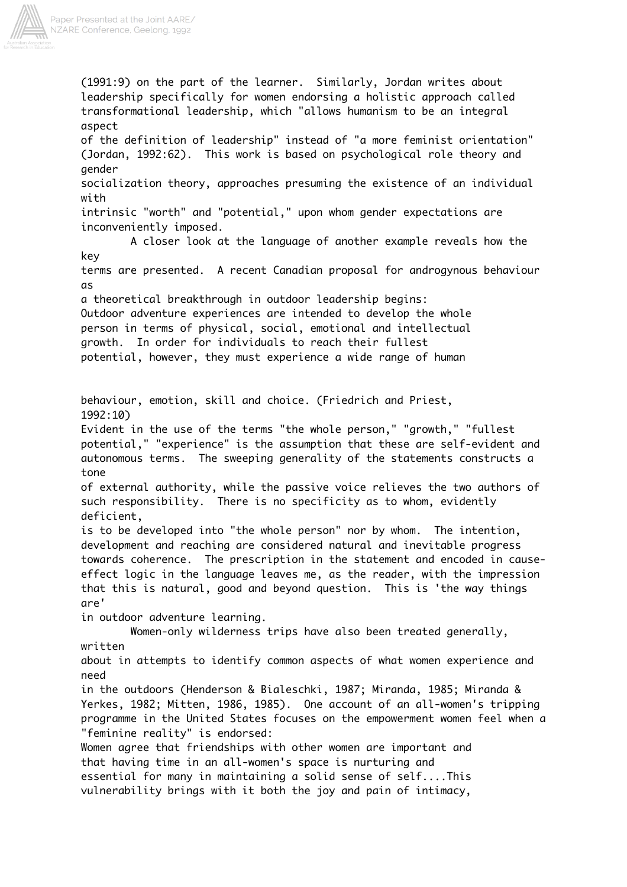

(1991:9) on the part of the learner. Similarly, Jordan writes about leadership specifically for women endorsing a holistic approach called transformational leadership, which "allows humanism to be an integral aspect of the definition of leadership" instead of "a more feminist orientation" (Jordan, 1992:62). This work is based on psychological role theory and gender socialization theory, approaches presuming the existence of an individual with intrinsic "worth" and "potential," upon whom gender expectations are inconveniently imposed. A closer look at the language of another example reveals how the key terms are presented. A recent Canadian proposal for androgynous behaviour as a theoretical breakthrough in outdoor leadership begins: Outdoor adventure experiences are intended to develop the whole person in terms of physical, social, emotional and intellectual growth. In order for individuals to reach their fullest potential, however, they must experience a wide range of human behaviour, emotion, skill and choice. (Friedrich and Priest, 1992:10) Evident in the use of the terms "the whole person," "growth," "fullest potential," "experience" is the assumption that these are self-evident and autonomous terms. The sweeping generality of the statements constructs a tone of external authority, while the passive voice relieves the two authors of such responsibility. There is no specificity as to whom, evidently deficient, is to be developed into "the whole person" nor by whom. The intention, development and reaching are considered natural and inevitable progress towards coherence. The prescription in the statement and encoded in causeeffect logic in the language leaves me, as the reader, with the impression that this is natural, good and beyond question. This is 'the way things are' in outdoor adventure learning. Women-only wilderness trips have also been treated generally, written about in attempts to identify common aspects of what women experience and need in the outdoors (Henderson & Bialeschki, 1987; Miranda, 1985; Miranda & Yerkes, 1982; Mitten, 1986, 1985). One account of an all-women's tripping programme in the United States focuses on the empowerment women feel when a "feminine reality" is endorsed: Women agree that friendships with other women are important and that having time in an all-women's space is nurturing and essential for many in maintaining a solid sense of self....This vulnerability brings with it both the joy and pain of intimacy,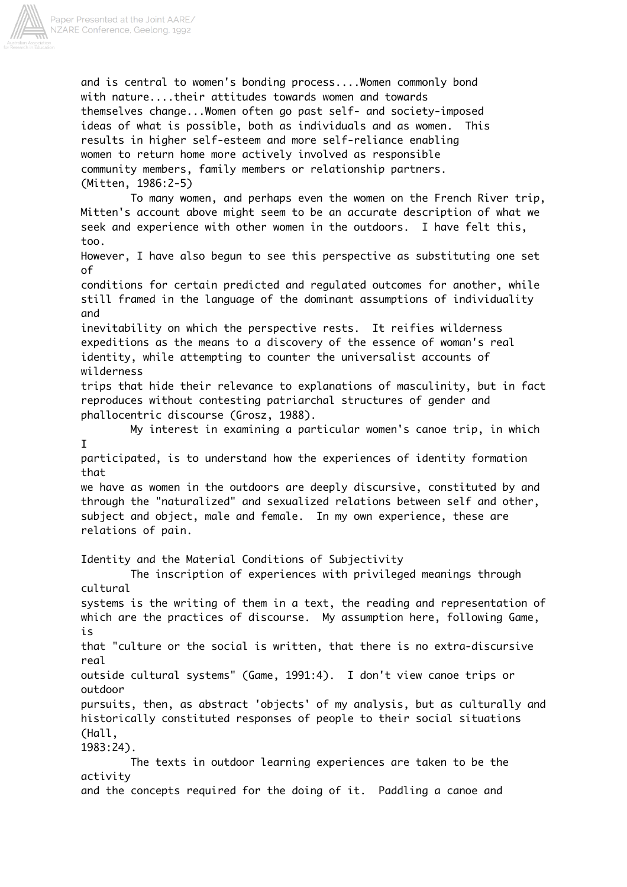

and is central to women's bonding process....Women commonly bond with nature....their attitudes towards women and towards themselves change...Women often go past self- and society-imposed ideas of what is possible, both as individuals and as women. This results in higher self-esteem and more self-reliance enabling women to return home more actively involved as responsible community members, family members or relationship partners. (Mitten, 1986:2-5)

To many women, and perhaps even the women on the French River trip, Mitten's account above might seem to be an accurate description of what we seek and experience with other women in the outdoors. I have felt this, too.

However, I have also begun to see this perspective as substituting one set of

conditions for certain predicted and regulated outcomes for another, while still framed in the language of the dominant assumptions of individuality and

inevitability on which the perspective rests. It reifies wilderness expeditions as the means to a discovery of the essence of woman's real identity, while attempting to counter the universalist accounts of wilderness

trips that hide their relevance to explanations of masculinity, but in fact reproduces without contesting patriarchal structures of gender and phallocentric discourse (Grosz, 1988).

My interest in examining a particular women's canoe trip, in which I

participated, is to understand how the experiences of identity formation that

we have as women in the outdoors are deeply discursive, constituted by and through the "naturalized" and sexualized relations between self and other, subject and object, male and female. In my own experience, these are relations of pain.

Identity and the Material Conditions of Subjectivity

The inscription of experiences with privileged meanings through cultural

systems is the writing of them in a text, the reading and representation of which are the practices of discourse. My assumption here, following Game, is

that "culture or the social is written, that there is no extra-discursive real

outside cultural systems" (Game, 1991:4). I don't view canoe trips or outdoor

pursuits, then, as abstract 'objects' of my analysis, but as culturally and historically constituted responses of people to their social situations (Hall,

1983:24).

The texts in outdoor learning experiences are taken to be the activity and the concepts required for the doing of it. Paddling a canoe and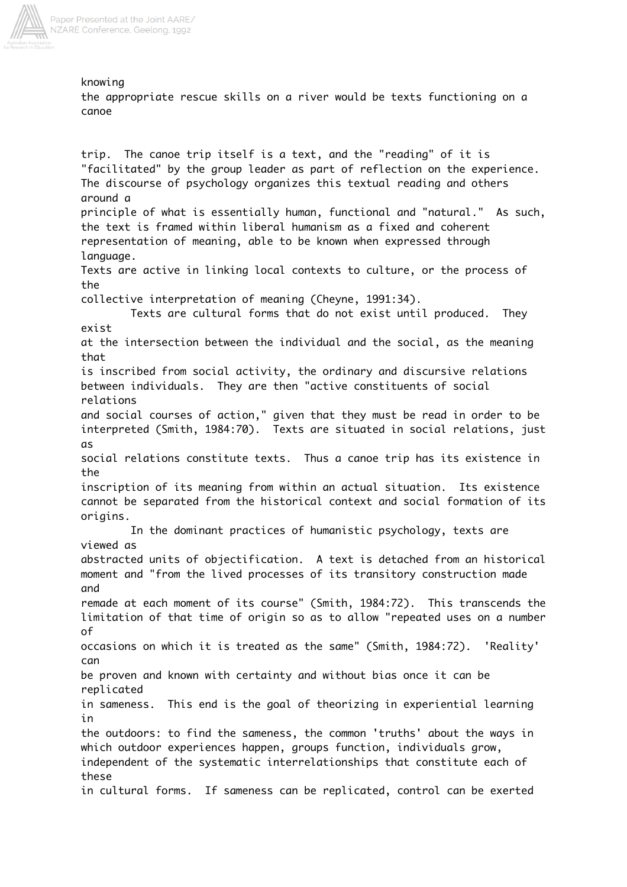

knowing the appropriate rescue skills on a river would be texts functioning on a canoe

trip. The canoe trip itself is a text, and the "reading" of it is "facilitated" by the group leader as part of reflection on the experience. The discourse of psychology organizes this textual reading and others around a principle of what is essentially human, functional and "natural." As such, the text is framed within liberal humanism as a fixed and coherent representation of meaning, able to be known when expressed through language. Texts are active in linking local contexts to culture, or the process of the collective interpretation of meaning (Cheyne, 1991:34). Texts are cultural forms that do not exist until produced. They exist at the intersection between the individual and the social, as the meaning that is inscribed from social activity, the ordinary and discursive relations between individuals. They are then "active constituents of social relations and social courses of action," given that they must be read in order to be interpreted (Smith, 1984:70). Texts are situated in social relations, just as social relations constitute texts. Thus a canoe trip has its existence in the inscription of its meaning from within an actual situation. Its existence cannot be separated from the historical context and social formation of its origins. In the dominant practices of humanistic psychology, texts are viewed as abstracted units of objectification. A text is detached from an historical moment and "from the lived processes of its transitory construction made and remade at each moment of its course" (Smith, 1984:72). This transcends the limitation of that time of origin so as to allow "repeated uses on a number of occasions on which it is treated as the same" (Smith, 1984:72). 'Reality' can be proven and known with certainty and without bias once it can be replicated in sameness. This end is the goal of theorizing in experiential learning in the outdoors: to find the sameness, the common 'truths' about the ways in which outdoor experiences happen, groups function, individuals grow, independent of the systematic interrelationships that constitute each of these in cultural forms. If sameness can be replicated, control can be exerted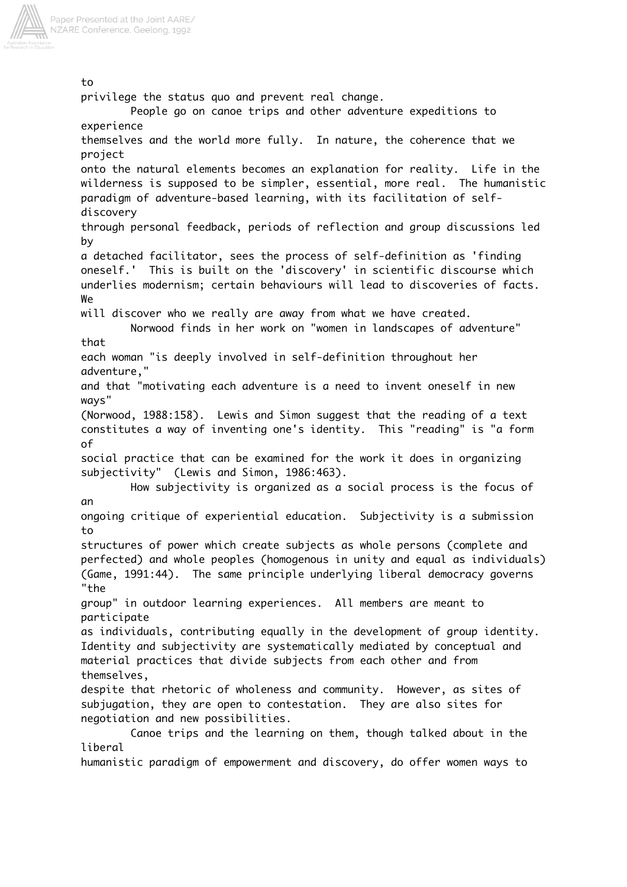

to privilege the status quo and prevent real change. People go on canoe trips and other adventure expeditions to experience themselves and the world more fully. In nature, the coherence that we project onto the natural elements becomes an explanation for reality. Life in the wilderness is supposed to be simpler, essential, more real. The humanistic paradigm of adventure-based learning, with its facilitation of selfdiscovery through personal feedback, periods of reflection and group discussions led by a detached facilitator, sees the process of self-definition as 'finding oneself.' This is built on the 'discovery' in scientific discourse which underlies modernism; certain behaviours will lead to discoveries of facts. We will discover who we really are away from what we have created. Norwood finds in her work on "women in landscapes of adventure" that each woman "is deeply involved in self-definition throughout her adventure," and that "motivating each adventure is a need to invent oneself in new ways" (Norwood, 1988:158). Lewis and Simon suggest that the reading of a text constitutes a way of inventing one's identity. This "reading" is "a form of social practice that can be examined for the work it does in organizing subjectivity" (Lewis and Simon, 1986:463). How subjectivity is organized as a social process is the focus of an ongoing critique of experiential education. Subjectivity is a submission to structures of power which create subjects as whole persons (complete and perfected) and whole peoples (homogenous in unity and equal as individuals) (Game, 1991:44). The same principle underlying liberal democracy governs "the group" in outdoor learning experiences. All members are meant to participate as individuals, contributing equally in the development of group identity. Identity and subjectivity are systematically mediated by conceptual and material practices that divide subjects from each other and from themselves, despite that rhetoric of wholeness and community. However, as sites of subjugation, they are open to contestation. They are also sites for negotiation and new possibilities. Canoe trips and the learning on them, though talked about in the liberal humanistic paradigm of empowerment and discovery, do offer women ways to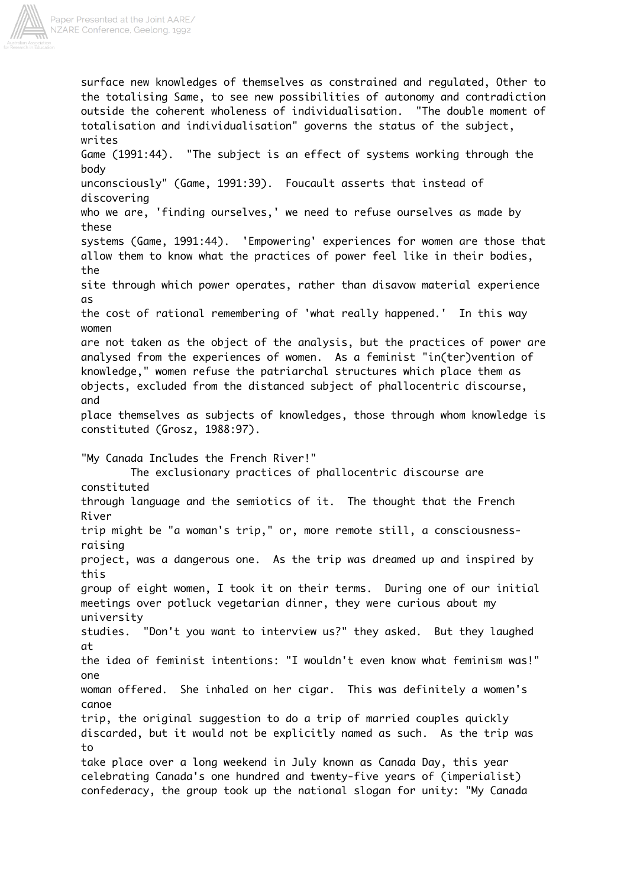

surface new knowledges of themselves as constrained and regulated, Other to the totalising Same, to see new possibilities of autonomy and contradiction outside the coherent wholeness of individualisation. "The double moment of totalisation and individualisation" governs the status of the subject, writes Game (1991:44). "The subject is an effect of systems working through the body unconsciously" (Game, 1991:39). Foucault asserts that instead of discovering who we are, 'finding ourselves,' we need to refuse ourselves as made by these systems (Game, 1991:44). 'Empowering' experiences for women are those that allow them to know what the practices of power feel like in their bodies, the site through which power operates, rather than disavow material experience as the cost of rational remembering of 'what really happened.' In this way women are not taken as the object of the analysis, but the practices of power are analysed from the experiences of women. As a feminist "in(ter)vention of knowledge," women refuse the patriarchal structures which place them as objects, excluded from the distanced subject of phallocentric discourse, and place themselves as subjects of knowledges, those through whom knowledge is constituted (Grosz, 1988:97). "My Canada Includes the French River!" The exclusionary practices of phallocentric discourse are constituted through language and the semiotics of it. The thought that the French River trip might be "a woman's trip," or, more remote still, a consciousnessraising project, was a dangerous one. As the trip was dreamed up and inspired by this group of eight women, I took it on their terms. During one of our initial meetings over potluck vegetarian dinner, they were curious about my university studies. "Don't you want to interview us?" they asked. But they laughed at the idea of feminist intentions: "I wouldn't even know what feminism was!" one woman offered. She inhaled on her cigar. This was definitely a women's canoe trip, the original suggestion to do a trip of married couples quickly discarded, but it would not be explicitly named as such. As the trip was to take place over a long weekend in July known as Canada Day, this year celebrating Canada's one hundred and twenty-five years of (imperialist) confederacy, the group took up the national slogan for unity: "My Canada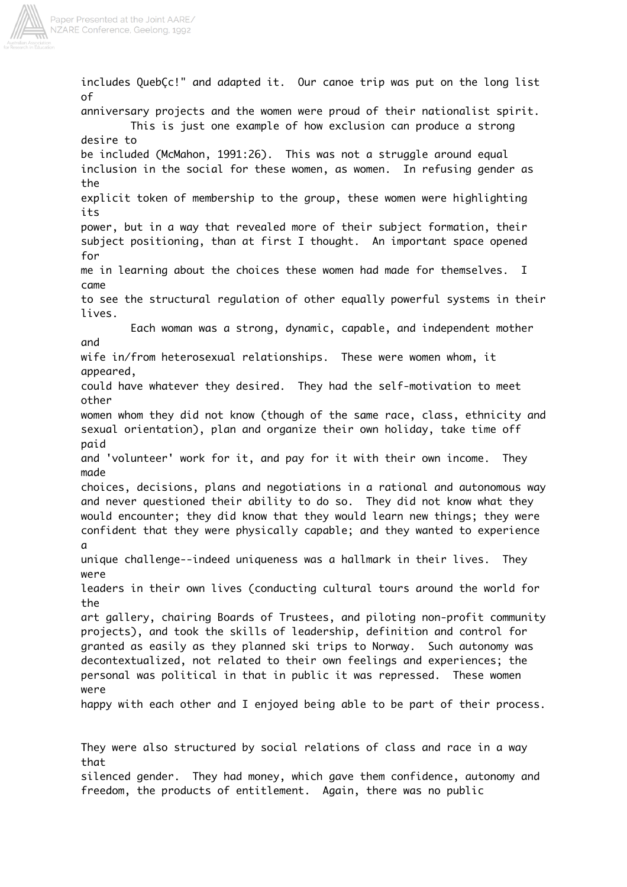

includes QuebÇc!" and adapted it. Our canoe trip was put on the long list of anniversary projects and the women were proud of their nationalist spirit. This is just one example of how exclusion can produce a strong desire to be included (McMahon, 1991:26). This was not a struggle around equal inclusion in the social for these women, as women. In refusing gender as the explicit token of membership to the group, these women were highlighting its power, but in a way that revealed more of their subject formation, their subject positioning, than at first I thought. An important space opened for me in learning about the choices these women had made for themselves. I came to see the structural regulation of other equally powerful systems in their lives. Each woman was a strong, dynamic, capable, and independent mother and wife in/from heterosexual relationships. These were women whom, it appeared, could have whatever they desired. They had the self-motivation to meet other women whom they did not know (though of the same race, class, ethnicity and sexual orientation), plan and organize their own holiday, take time off paid and 'volunteer' work for it, and pay for it with their own income. They made choices, decisions, plans and negotiations in a rational and autonomous way and never questioned their ability to do so. They did not know what they would encounter; they did know that they would learn new things; they were confident that they were physically capable; and they wanted to experience a unique challenge--indeed uniqueness was a hallmark in their lives. They were leaders in their own lives (conducting cultural tours around the world for the art gallery, chairing Boards of Trustees, and piloting non-profit community projects), and took the skills of leadership, definition and control for granted as easily as they planned ski trips to Norway. Such autonomy was decontextualized, not related to their own feelings and experiences; the personal was political in that in public it was repressed. These women were happy with each other and I enjoyed being able to be part of their process. They were also structured by social relations of class and race in a way that

silenced gender. They had money, which gave them confidence, autonomy and freedom, the products of entitlement. Again, there was no public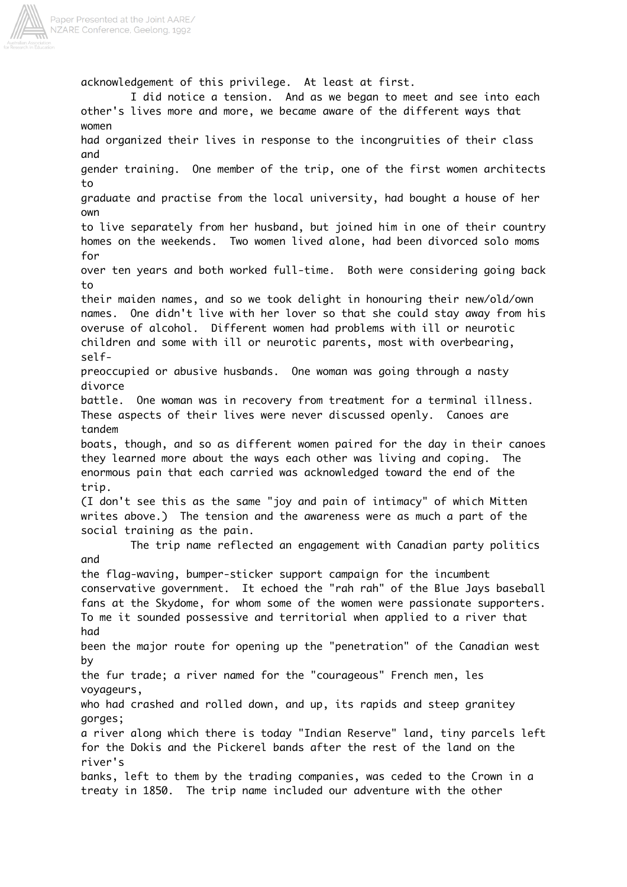

acknowledgement of this privilege. At least at first. I did notice a tension. And as we began to meet and see into each other's lives more and more, we became aware of the different ways that women had organized their lives in response to the incongruities of their class and gender training. One member of the trip, one of the first women architects to graduate and practise from the local university, had bought a house of her own to live separately from her husband, but joined him in one of their country homes on the weekends. Two women lived alone, had been divorced solo moms for over ten years and both worked full-time. Both were considering going back to their maiden names, and so we took delight in honouring their new/old/own names. One didn't live with her lover so that she could stay away from his overuse of alcohol. Different women had problems with ill or neurotic children and some with ill or neurotic parents, most with overbearing, selfpreoccupied or abusive husbands. One woman was going through a nasty divorce battle. One woman was in recovery from treatment for a terminal illness. These aspects of their lives were never discussed openly. Canoes are tandem boats, though, and so as different women paired for the day in their canoes they learned more about the ways each other was living and coping. The enormous pain that each carried was acknowledged toward the end of the trip. (I don't see this as the same "joy and pain of intimacy" of which Mitten writes above.) The tension and the awareness were as much a part of the social training as the pain. The trip name reflected an engagement with Canadian party politics and the flag-waving, bumper-sticker support campaign for the incumbent conservative government. It echoed the "rah rah" of the Blue Jays baseball fans at the Skydome, for whom some of the women were passionate supporters. To me it sounded possessive and territorial when applied to a river that had been the major route for opening up the "penetration" of the Canadian west by the fur trade; a river named for the "courageous" French men, les voyageurs, who had crashed and rolled down, and up, its rapids and steep granitey gorges; a river along which there is today "Indian Reserve" land, tiny parcels left for the Dokis and the Pickerel bands after the rest of the land on the river's banks, left to them by the trading companies, was ceded to the Crown in a treaty in 1850. The trip name included our adventure with the other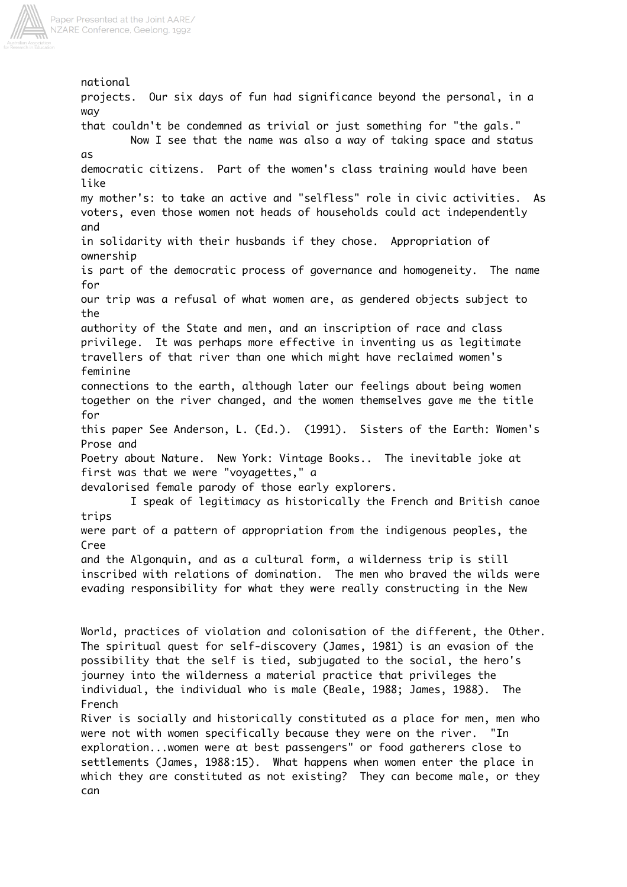

national projects. Our six days of fun had significance beyond the personal, in a way that couldn't be condemned as trivial or just something for "the gals." Now I see that the name was also a way of taking space and status as democratic citizens. Part of the women's class training would have been like my mother's: to take an active and "selfless" role in civic activities. As voters, even those women not heads of households could act independently and in solidarity with their husbands if they chose. Appropriation of ownership is part of the democratic process of governance and homogeneity. The name for our trip was a refusal of what women are, as gendered objects subject to the authority of the State and men, and an inscription of race and class privilege. It was perhaps more effective in inventing us as legitimate travellers of that river than one which might have reclaimed women's feminine connections to the earth, although later our feelings about being women together on the river changed, and the women themselves gave me the title for this paper See Anderson, L. (Ed.). (1991). Sisters of the Earth: Women's Prose and Poetry about Nature. New York: Vintage Books.. The inevitable joke at first was that we were "voyagettes," a devalorised female parody of those early explorers. I speak of legitimacy as historically the French and British canoe trips were part of a pattern of appropriation from the indigenous peoples, the Cree and the Algonquin, and as a cultural form, a wilderness trip is still inscribed with relations of domination. The men who braved the wilds were evading responsibility for what they were really constructing in the New World, practices of violation and colonisation of the different, the Other. The spiritual quest for self-discovery (James, 1981) is an evasion of the possibility that the self is tied, subjugated to the social, the hero's journey into the wilderness a material practice that privileges the

French River is socially and historically constituted as a place for men, men who were not with women specifically because they were on the river. "In exploration...women were at best passengers" or food gatherers close to settlements (James, 1988:15). What happens when women enter the place in which they are constituted as not existing? They can become male, or they can

individual, the individual who is male (Beale, 1988; James, 1988). The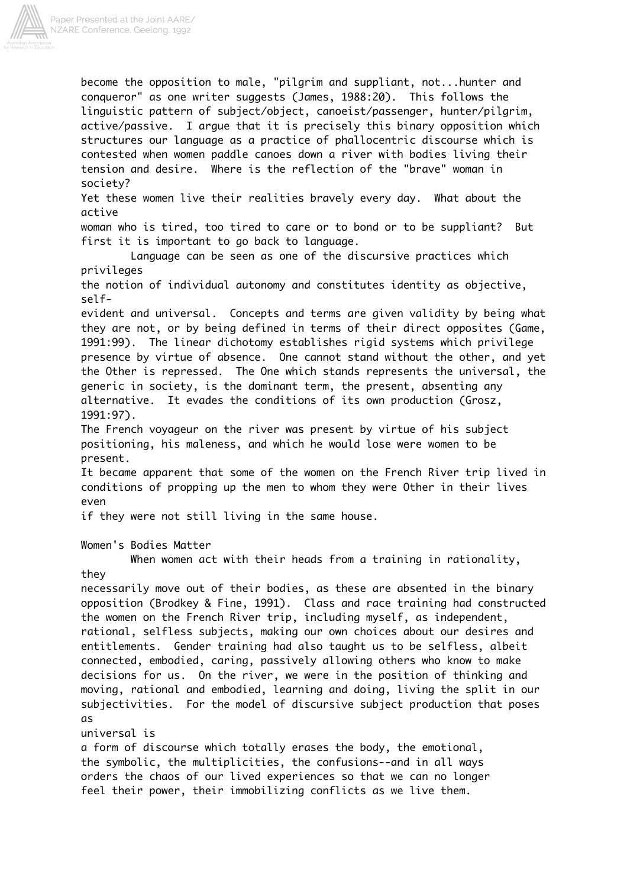

Paper Presented at the Joint AARE/ NZARE Conference, Geelong, 1992

> become the opposition to male, "pilgrim and suppliant, not...hunter and conqueror" as one writer suggests (James, 1988:20). This follows the linguistic pattern of subject/object, canoeist/passenger, hunter/pilgrim, active/passive. I argue that it is precisely this binary opposition which structures our language as a practice of phallocentric discourse which is contested when women paddle canoes down a river with bodies living their tension and desire. Where is the reflection of the "brave" woman in society?

Yet these women live their realities bravely every day. What about the active

woman who is tired, too tired to care or to bond or to be suppliant? But first it is important to go back to language.

Language can be seen as one of the discursive practices which privileges

the notion of individual autonomy and constitutes identity as objective, self-

evident and universal. Concepts and terms are given validity by being what they are not, or by being defined in terms of their direct opposites (Game, 1991:99). The linear dichotomy establishes rigid systems which privilege presence by virtue of absence. One cannot stand without the other, and yet the Other is repressed. The One which stands represents the universal, the generic in society, is the dominant term, the present, absenting any alternative. It evades the conditions of its own production (Grosz, 1991:97).

The French voyageur on the river was present by virtue of his subject positioning, his maleness, and which he would lose were women to be present.

It became apparent that some of the women on the French River trip lived in conditions of propping up the men to whom they were Other in their lives even

if they were not still living in the same house.

Women's Bodies Matter

When women act with their heads from a training in rationality, they

necessarily move out of their bodies, as these are absented in the binary opposition (Brodkey & Fine, 1991). Class and race training had constructed the women on the French River trip, including myself, as independent, rational, selfless subjects, making our own choices about our desires and entitlements. Gender training had also taught us to be selfless, albeit connected, embodied, caring, passively allowing others who know to make decisions for us. On the river, we were in the position of thinking and moving, rational and embodied, learning and doing, living the split in our subjectivities. For the model of discursive subject production that poses as

universal is

a form of discourse which totally erases the body, the emotional, the symbolic, the multiplicities, the confusions--and in all ways orders the chaos of our lived experiences so that we can no longer feel their power, their immobilizing conflicts as we live them.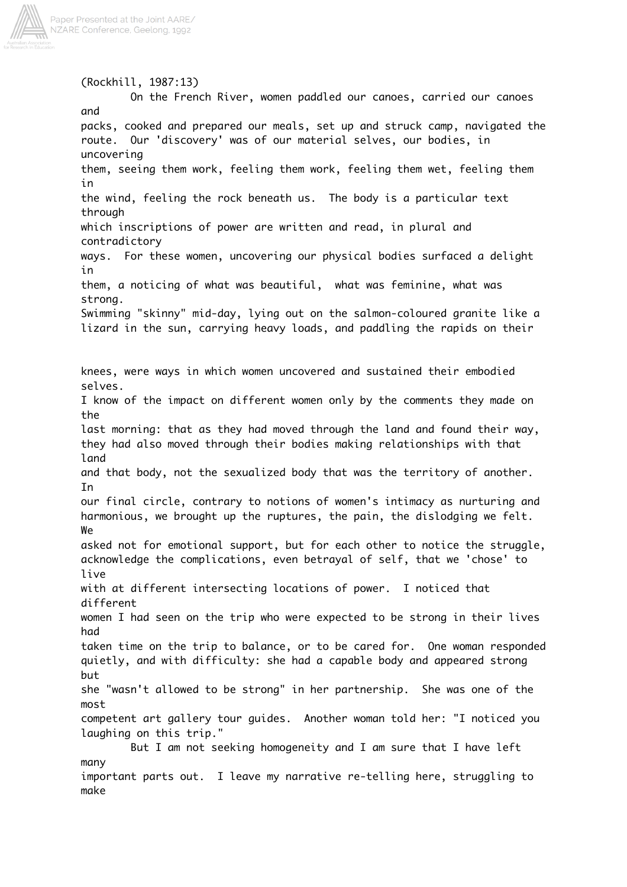

(Rockhill, 1987:13) On the French River, women paddled our canoes, carried our canoes and packs, cooked and prepared our meals, set up and struck camp, navigated the route. Our 'discovery' was of our material selves, our bodies, in uncovering them, seeing them work, feeling them work, feeling them wet, feeling them in the wind, feeling the rock beneath us. The body is a particular text through which inscriptions of power are written and read, in plural and contradictory ways. For these women, uncovering our physical bodies surfaced a delight in them, a noticing of what was beautiful, what was feminine, what was strong. Swimming "skinny" mid-day, lying out on the salmon-coloured granite like a lizard in the sun, carrying heavy loads, and paddling the rapids on their knees, were ways in which women uncovered and sustained their embodied selves. I know of the impact on different women only by the comments they made on the last morning: that as they had moved through the land and found their way, they had also moved through their bodies making relationships with that land and that body, not the sexualized body that was the territory of another. In our final circle, contrary to notions of women's intimacy as nurturing and harmonious, we brought up the ruptures, the pain, the dislodging we felt. We asked not for emotional support, but for each other to notice the struggle, acknowledge the complications, even betrayal of self, that we 'chose' to live with at different intersecting locations of power. I noticed that different women I had seen on the trip who were expected to be strong in their lives had taken time on the trip to balance, or to be cared for. One woman responded quietly, and with difficulty: she had a capable body and appeared strong but she "wasn't allowed to be strong" in her partnership. She was one of the most competent art gallery tour guides. Another woman told her: "I noticed you laughing on this trip." But I am not seeking homogeneity and I am sure that I have left many important parts out. I leave my narrative re-telling here, struggling to make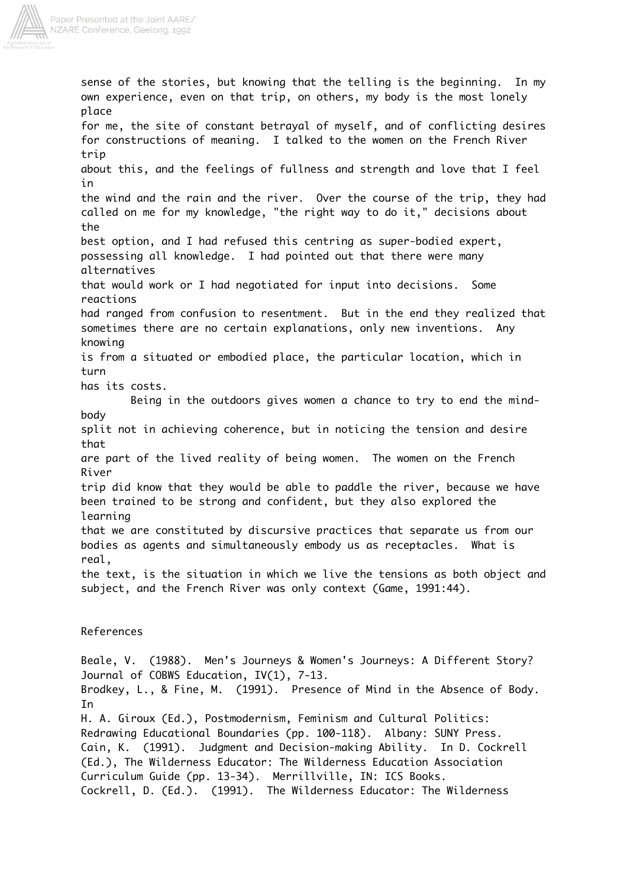

sense of the stories, but knowing that the telling is the beginning. In my own experience, even on that trip, on others, my body is the most lonely place for me, the site of constant betrayal of myself, and of conflicting desires for constructions of meaning. I talked to the women on the French River trip about this, and the feelings of fullness and strength and love that I feel in the wind and the rain and the river. Over the course of the trip, they had called on me for my knowledge, "the right way to do it," decisions about the best option, and I had refused this centring as super-bodied expert, possessing all knowledge. I had pointed out that there were many alternatives that would work or I had negotiated for input into decisions. Some reactions had ranged from confusion to resentment. But in the end they realized that sometimes there are no certain explanations, only new inventions. Any knowing is from a situated or embodied place, the particular location, which in turn has its costs. Being in the outdoors gives women a chance to try to end the mindbody split not in achieving coherence, but in noticing the tension and desire that are part of the lived reality of being women. The women on the French River trip did know that they would be able to paddle the river, because we have been trained to be strong and confident, but they also explored the learning that we are constituted by discursive practices that separate us from our bodies as agents and simultaneously embody us as receptacles. What is real, the text, is the situation in which we live the tensions as both object and subject, and the French River was only context (Game, 1991:44). References Beale, V. (1988). Men's Journeys & Women's Journeys: A Different Story? Journal of COBWS Education, IV(1), 7-13. Brodkey, L., & Fine, M. (1991). Presence of Mind in the Absence of Body. In

H. A. Giroux (Ed.), Postmodernism, Feminism and Cultural Politics: Redrawing Educational Boundaries (pp. 100-118). Albany: SUNY Press. Cain, K. (1991). Judgment and Decision-making Ability. In D. Cockrell (Ed.), The Wilderness Educator: The Wilderness Education Association Curriculum Guide (pp. 13-34). Merrillville, IN: ICS Books. Cockrell, D. (Ed.). (1991). The Wilderness Educator: The Wilderness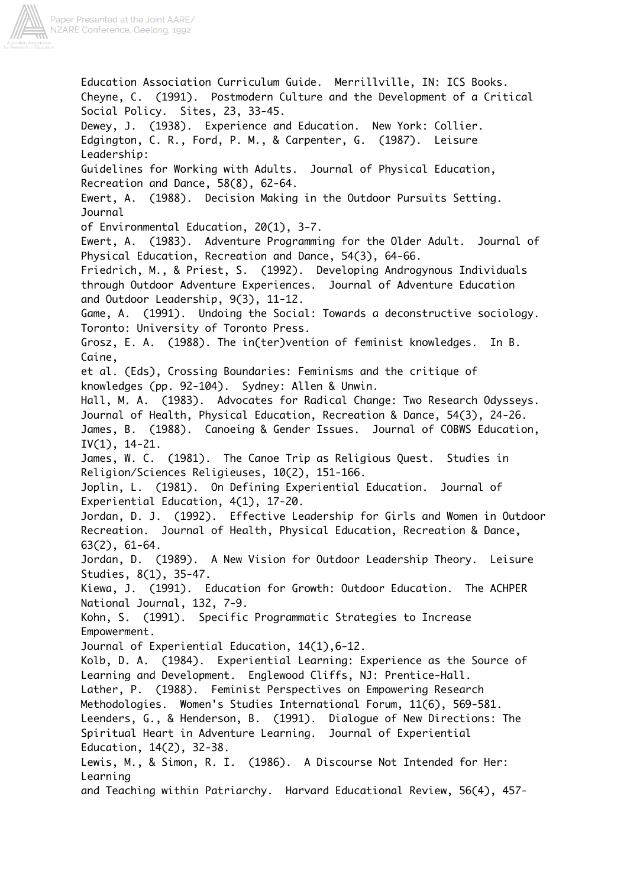

Education Association Curriculum Guide. Merrillville, IN: ICS Books. Cheyne, C. (1991). Postmodern Culture and the Development of a Critical Social Policy. Sites, 23, 33-45. Dewey, J. (1938). Experience and Education. New York: Collier. Edgington, C. R., Ford, P. M., & Carpenter, G. (1987). Leisure Leadership: Guidelines for Working with Adults. Journal of Physical Education, Recreation and Dance, 58(8), 62-64. Ewert, A. (1988). Decision Making in the Outdoor Pursuits Setting. Journal of Environmental Education, 20(1), 3-7. Ewert, A. (1983). Adventure Programming for the Older Adult. Journal of Physical Education, Recreation and Dance, 54(3), 64-66. Friedrich, M., & Priest, S. (1992). Developing Androgynous Individuals through Outdoor Adventure Experiences. Journal of Adventure Education and Outdoor Leadership, 9(3), 11-12. Game, A. (1991). Undoing the Social: Towards a deconstructive sociology. Toronto: University of Toronto Press. Grosz, E. A. (1988). The in(ter)vention of feminist knowledges. In B. Caine, et al. (Eds), Crossing Boundaries: Feminisms and the critique of knowledges (pp. 92-104). Sydney: Allen & Unwin. Hall, M. A. (1983). Advocates for Radical Change: Two Research Odysseys. Journal of Health, Physical Education, Recreation & Dance, 54(3), 24-26. James, B. (1988). Canoeing & Gender Issues. Journal of COBWS Education, IV(1), 14-21. James, W. C. (1981). The Canoe Trip as Religious Quest. Studies in Religion/Sciences Religieuses, 10(2), 151-166. Joplin, L. (1981). On Defining Experiential Education. Journal of Experiential Education, 4(1), 17-20. Jordan, D. J. (1992). Effective Leadership for Girls and Women in Outdoor Recreation. Journal of Health, Physical Education, Recreation & Dance, 63(2), 61-64. Jordan, D. (1989). A New Vision for Outdoor Leadership Theory. Leisure Studies, 8(1), 35-47. Kiewa, J. (1991). Education for Growth: Outdoor Education. The ACHPER National Journal, 132, 7-9. Kohn, S. (1991). Specific Programmatic Strategies to Increase Empowerment. Journal of Experiential Education, 14(1),6-12. Kolb, D. A. (1984). Experiential Learning: Experience as the Source of Learning and Development. Englewood Cliffs, NJ: Prentice-Hall. Lather, P. (1988). Feminist Perspectives on Empowering Research Methodologies. Women's Studies International Forum, 11(6), 569-581. Leenders, G., & Henderson, B. (1991). Dialogue of New Directions: The Spiritual Heart in Adventure Learning. Journal of Experiential Education, 14(2), 32-38. Lewis, M., & Simon, R. I. (1986). A Discourse Not Intended for Her: Learning and Teaching within Patriarchy. Harvard Educational Review, 56(4), 457-